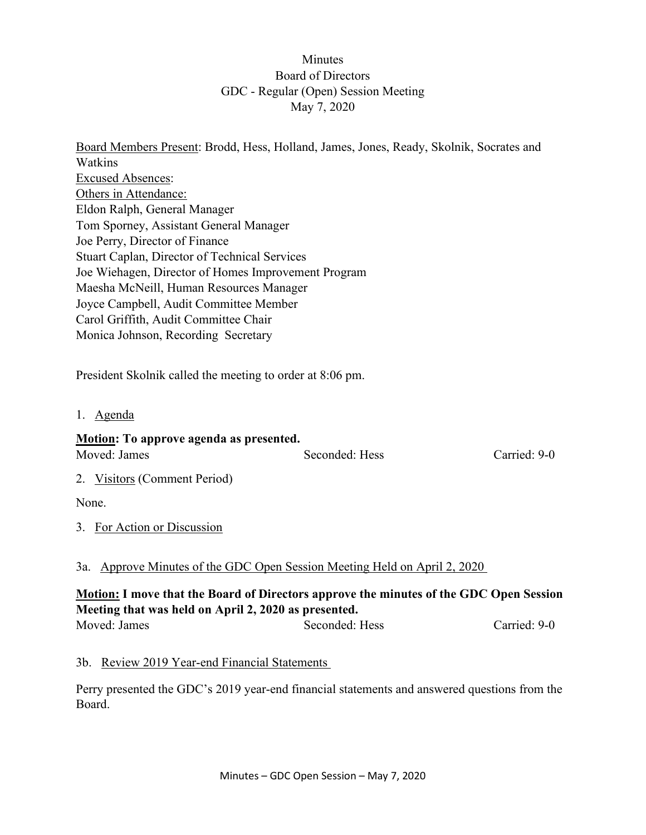### Minutes Board of Directors GDC - Regular (Open) Session Meeting May 7, 2020

Board Members Present: Brodd, Hess, Holland, James, Jones, Ready, Skolnik, Socrates and Watkins Excused Absences: Others in Attendance: Eldon Ralph, General Manager Tom Sporney, Assistant General Manager Joe Perry, Director of Finance Stuart Caplan, Director of Technical Services Joe Wiehagen, Director of Homes Improvement Program Maesha McNeill, Human Resources Manager Joyce Campbell, Audit Committee Member Carol Griffith, Audit Committee Chair Monica Johnson, Recording Secretary

President Skolnik called the meeting to order at 8:06 pm.

1. Agenda

# **Motion: To approve agenda as presented.** Moved: James Seconded: Hess Carried: 9-0

2. Visitors (Comment Period)

None.

3. For Action or Discussion

#### 3a. Approve Minutes of the GDC Open Session Meeting Held on April 2, 2020

## **Motion: I move that the Board of Directors approve the minutes of the GDC Open Session Meeting that was held on April 2, 2020 as presented.**

| Moved: James | Seconded: Hess | Carried: 9-0 |
|--------------|----------------|--------------|
|              |                |              |

#### 3b. Review 2019 Year-end Financial Statements

Perry presented the GDC's 2019 year-end financial statements and answered questions from the Board.